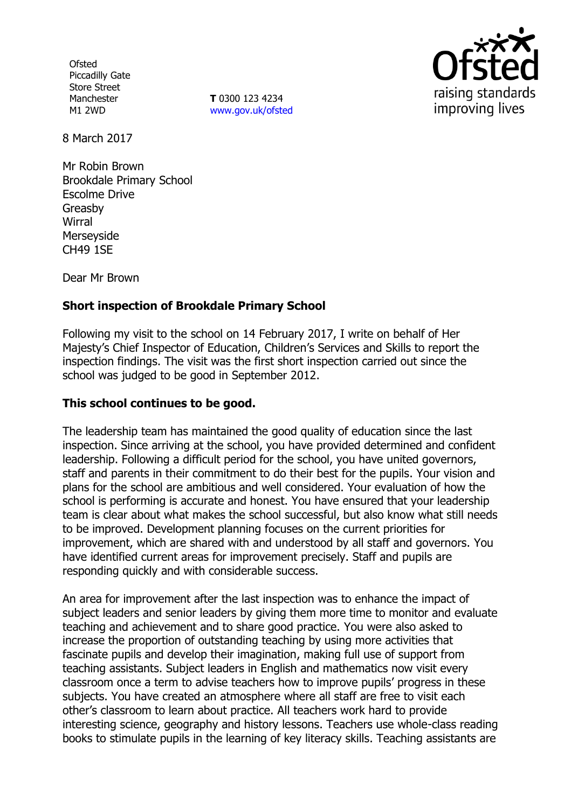**Ofsted** Piccadilly Gate Store Street Manchester M1 2WD

**T** 0300 123 4234 www.gov.uk/ofsted



8 March 2017

Mr Robin Brown Brookdale Primary School Escolme Drive Greasby **Wirral** Merseyside CH49 1SE

Dear Mr Brown

# **Short inspection of Brookdale Primary School**

Following my visit to the school on 14 February 2017, I write on behalf of Her Majesty's Chief Inspector of Education, Children's Services and Skills to report the inspection findings. The visit was the first short inspection carried out since the school was judged to be good in September 2012.

## **This school continues to be good.**

The leadership team has maintained the good quality of education since the last inspection. Since arriving at the school, you have provided determined and confident leadership. Following a difficult period for the school, you have united governors, staff and parents in their commitment to do their best for the pupils. Your vision and plans for the school are ambitious and well considered. Your evaluation of how the school is performing is accurate and honest. You have ensured that your leadership team is clear about what makes the school successful, but also know what still needs to be improved. Development planning focuses on the current priorities for improvement, which are shared with and understood by all staff and governors. You have identified current areas for improvement precisely. Staff and pupils are responding quickly and with considerable success.

An area for improvement after the last inspection was to enhance the impact of subject leaders and senior leaders by giving them more time to monitor and evaluate teaching and achievement and to share good practice. You were also asked to increase the proportion of outstanding teaching by using more activities that fascinate pupils and develop their imagination, making full use of support from teaching assistants. Subject leaders in English and mathematics now visit every classroom once a term to advise teachers how to improve pupils' progress in these subjects. You have created an atmosphere where all staff are free to visit each other's classroom to learn about practice. All teachers work hard to provide interesting science, geography and history lessons. Teachers use whole-class reading books to stimulate pupils in the learning of key literacy skills. Teaching assistants are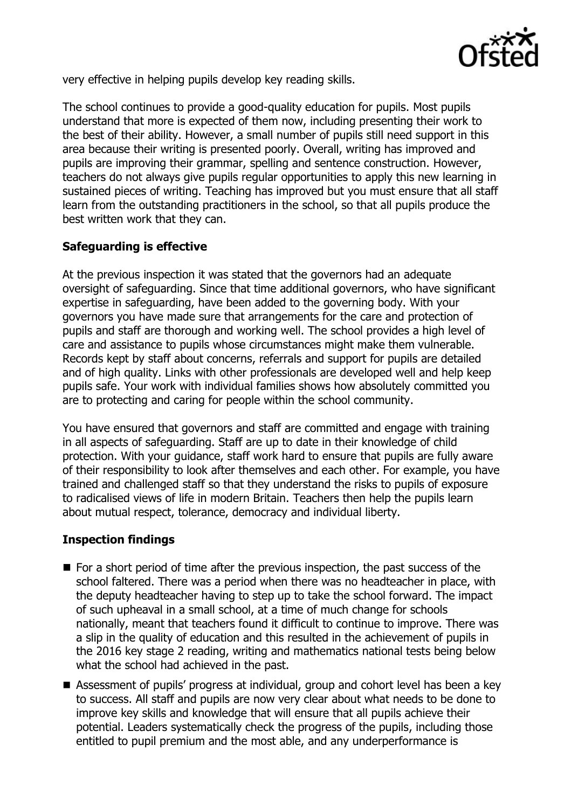

very effective in helping pupils develop key reading skills.

The school continues to provide a good-quality education for pupils. Most pupils understand that more is expected of them now, including presenting their work to the best of their ability. However, a small number of pupils still need support in this area because their writing is presented poorly. Overall, writing has improved and pupils are improving their grammar, spelling and sentence construction. However, teachers do not always give pupils regular opportunities to apply this new learning in sustained pieces of writing. Teaching has improved but you must ensure that all staff learn from the outstanding practitioners in the school, so that all pupils produce the best written work that they can.

# **Safeguarding is effective**

At the previous inspection it was stated that the governors had an adequate oversight of safeguarding. Since that time additional governors, who have significant expertise in safeguarding, have been added to the governing body. With your governors you have made sure that arrangements for the care and protection of pupils and staff are thorough and working well. The school provides a high level of care and assistance to pupils whose circumstances might make them vulnerable. Records kept by staff about concerns, referrals and support for pupils are detailed and of high quality. Links with other professionals are developed well and help keep pupils safe. Your work with individual families shows how absolutely committed you are to protecting and caring for people within the school community.

You have ensured that governors and staff are committed and engage with training in all aspects of safeguarding. Staff are up to date in their knowledge of child protection. With your guidance, staff work hard to ensure that pupils are fully aware of their responsibility to look after themselves and each other. For example, you have trained and challenged staff so that they understand the risks to pupils of exposure to radicalised views of life in modern Britain. Teachers then help the pupils learn about mutual respect, tolerance, democracy and individual liberty.

#### **Inspection findings**

- $\blacksquare$  For a short period of time after the previous inspection, the past success of the school faltered. There was a period when there was no headteacher in place, with the deputy headteacher having to step up to take the school forward. The impact of such upheaval in a small school, at a time of much change for schools nationally, meant that teachers found it difficult to continue to improve. There was a slip in the quality of education and this resulted in the achievement of pupils in the 2016 key stage 2 reading, writing and mathematics national tests being below what the school had achieved in the past.
- Assessment of pupils' progress at individual, group and cohort level has been a key to success. All staff and pupils are now very clear about what needs to be done to improve key skills and knowledge that will ensure that all pupils achieve their potential. Leaders systematically check the progress of the pupils, including those entitled to pupil premium and the most able, and any underperformance is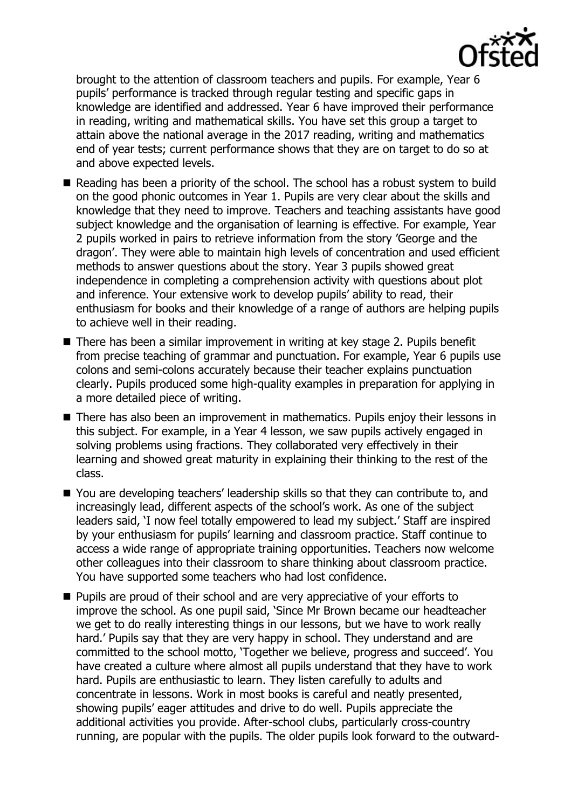

brought to the attention of classroom teachers and pupils. For example, Year 6 pupils' performance is tracked through regular testing and specific gaps in knowledge are identified and addressed. Year 6 have improved their performance in reading, writing and mathematical skills. You have set this group a target to attain above the national average in the 2017 reading, writing and mathematics end of year tests; current performance shows that they are on target to do so at and above expected levels.

- Reading has been a priority of the school. The school has a robust system to build on the good phonic outcomes in Year 1. Pupils are very clear about the skills and knowledge that they need to improve. Teachers and teaching assistants have good subject knowledge and the organisation of learning is effective. For example, Year 2 pupils worked in pairs to retrieve information from the story 'George and the dragon'. They were able to maintain high levels of concentration and used efficient methods to answer questions about the story. Year 3 pupils showed great independence in completing a comprehension activity with questions about plot and inference. Your extensive work to develop pupils' ability to read, their enthusiasm for books and their knowledge of a range of authors are helping pupils to achieve well in their reading.
- There has been a similar improvement in writing at key stage 2. Pupils benefit from precise teaching of grammar and punctuation. For example, Year 6 pupils use colons and semi-colons accurately because their teacher explains punctuation clearly. Pupils produced some high-quality examples in preparation for applying in a more detailed piece of writing.
- There has also been an improvement in mathematics. Pupils enjoy their lessons in this subject. For example, in a Year 4 lesson, we saw pupils actively engaged in solving problems using fractions. They collaborated very effectively in their learning and showed great maturity in explaining their thinking to the rest of the class.
- You are developing teachers' leadership skills so that they can contribute to, and increasingly lead, different aspects of the school's work. As one of the subject leaders said, 'I now feel totally empowered to lead my subject.' Staff are inspired by your enthusiasm for pupils' learning and classroom practice. Staff continue to access a wide range of appropriate training opportunities. Teachers now welcome other colleagues into their classroom to share thinking about classroom practice. You have supported some teachers who had lost confidence.
- **Pupils are proud of their school and are very appreciative of your efforts to** improve the school. As one pupil said, 'Since Mr Brown became our headteacher we get to do really interesting things in our lessons, but we have to work really hard.' Pupils say that they are very happy in school. They understand and are committed to the school motto, 'Together we believe, progress and succeed'. You have created a culture where almost all pupils understand that they have to work hard. Pupils are enthusiastic to learn. They listen carefully to adults and concentrate in lessons. Work in most books is careful and neatly presented, showing pupils' eager attitudes and drive to do well. Pupils appreciate the additional activities you provide. After-school clubs, particularly cross-country running, are popular with the pupils. The older pupils look forward to the outward-